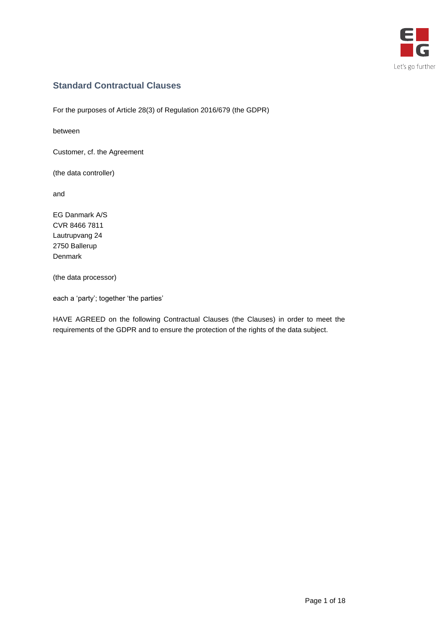

# **Standard Contractual Clauses**

For the purposes of Article 28(3) of Regulation 2016/679 (the GDPR)

between

Customer, cf. the Agreement

(the data controller)

and

EG Danmark A/S CVR 8466 7811 Lautrupvang 24 2750 Ballerup Denmark

(the data processor)

each a 'party'; together 'the parties'

HAVE AGREED on the following Contractual Clauses (the Clauses) in order to meet the requirements of the GDPR and to ensure the protection of the rights of the data subject.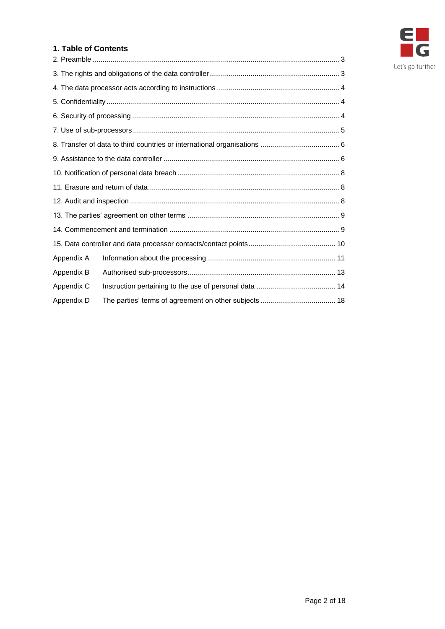

#### **1. Table of Contents**

| Appendix A |  |
|------------|--|
| Appendix B |  |
| Appendix C |  |
| Appendix D |  |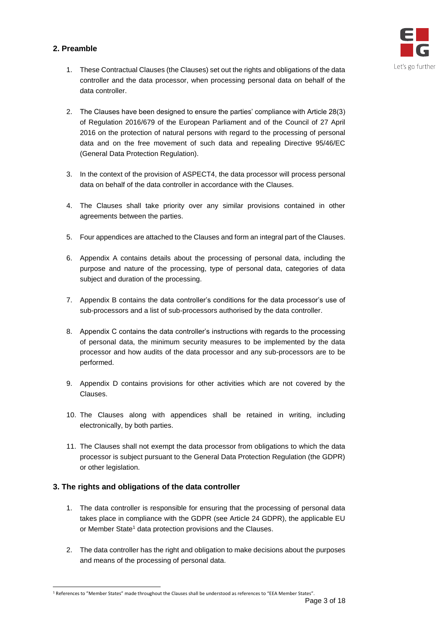## <span id="page-2-0"></span>**2. Preamble**



- 1. These Contractual Clauses (the Clauses) set out the rights and obligations of the data controller and the data processor, when processing personal data on behalf of the data controller.
- 2. The Clauses have been designed to ensure the parties' compliance with Article 28(3) of Regulation 2016/679 of the European Parliament and of the Council of 27 April 2016 on the protection of natural persons with regard to the processing of personal data and on the free movement of such data and repealing Directive 95/46/EC (General Data Protection Regulation).
- 3. In the context of the provision of ASPECT4, the data processor will process personal data on behalf of the data controller in accordance with the Clauses.
- 4. The Clauses shall take priority over any similar provisions contained in other agreements between the parties.
- 5. Four appendices are attached to the Clauses and form an integral part of the Clauses.
- 6. Appendix A contains details about the processing of personal data, including the purpose and nature of the processing, type of personal data, categories of data subject and duration of the processing.
- 7. Appendix B contains the data controller's conditions for the data processor's use of sub-processors and a list of sub-processors authorised by the data controller.
- 8. Appendix C contains the data controller's instructions with regards to the processing of personal data, the minimum security measures to be implemented by the data processor and how audits of the data processor and any sub-processors are to be performed.
- 9. Appendix D contains provisions for other activities which are not covered by the Clauses.
- 10. The Clauses along with appendices shall be retained in writing, including electronically, by both parties.
- 11. The Clauses shall not exempt the data processor from obligations to which the data processor is subject pursuant to the General Data Protection Regulation (the GDPR) or other legislation.

# <span id="page-2-1"></span>**3. The rights and obligations of the data controller**

 $\overline{a}$ 

- 1. The data controller is responsible for ensuring that the processing of personal data takes place in compliance with the GDPR (see Article 24 GDPR), the applicable EU or Member State<sup>1</sup> data protection provisions and the Clauses.
- 2. The data controller has the right and obligation to make decisions about the purposes and means of the processing of personal data.

<sup>1</sup> References to "Member States" made throughout the Clauses shall be understood as references to "EEA Member States".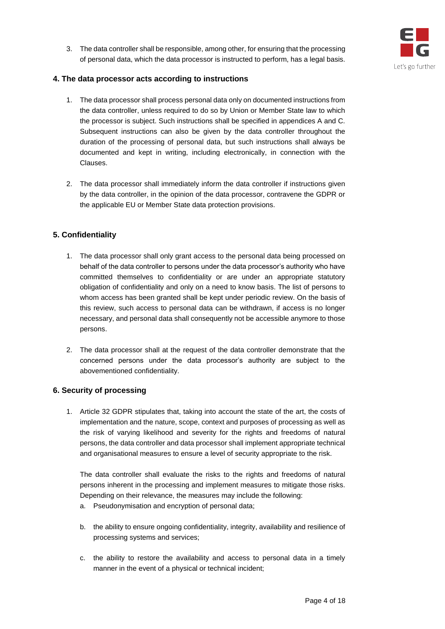

3. The data controller shall be responsible, among other, for ensuring that the processing of personal data, which the data processor is instructed to perform, has a legal basis.

#### <span id="page-3-0"></span>**4. The data processor acts according to instructions**

- 1. The data processor shall process personal data only on documented instructions from the data controller, unless required to do so by Union or Member State law to which the processor is subject. Such instructions shall be specified in appendices A and C. Subsequent instructions can also be given by the data controller throughout the duration of the processing of personal data, but such instructions shall always be documented and kept in writing, including electronically, in connection with the Clauses.
- 2. The data processor shall immediately inform the data controller if instructions given by the data controller, in the opinion of the data processor, contravene the GDPR or the applicable EU or Member State data protection provisions.

#### <span id="page-3-1"></span>**5. Confidentiality**

- 1. The data processor shall only grant access to the personal data being processed on behalf of the data controller to persons under the data processor's authority who have committed themselves to confidentiality or are under an appropriate statutory obligation of confidentiality and only on a need to know basis. The list of persons to whom access has been granted shall be kept under periodic review. On the basis of this review, such access to personal data can be withdrawn, if access is no longer necessary, and personal data shall consequently not be accessible anymore to those persons.
- 2. The data processor shall at the request of the data controller demonstrate that the concerned persons under the data processor's authority are subject to the abovementioned confidentiality.

#### <span id="page-3-2"></span>**6. Security of processing**

1. Article 32 GDPR stipulates that, taking into account the state of the art, the costs of implementation and the nature, scope, context and purposes of processing as well as the risk of varying likelihood and severity for the rights and freedoms of natural persons, the data controller and data processor shall implement appropriate technical and organisational measures to ensure a level of security appropriate to the risk.

The data controller shall evaluate the risks to the rights and freedoms of natural persons inherent in the processing and implement measures to mitigate those risks. Depending on their relevance, the measures may include the following:

- a. Pseudonymisation and encryption of personal data;
- b. the ability to ensure ongoing confidentiality, integrity, availability and resilience of processing systems and services;
- c. the ability to restore the availability and access to personal data in a timely manner in the event of a physical or technical incident;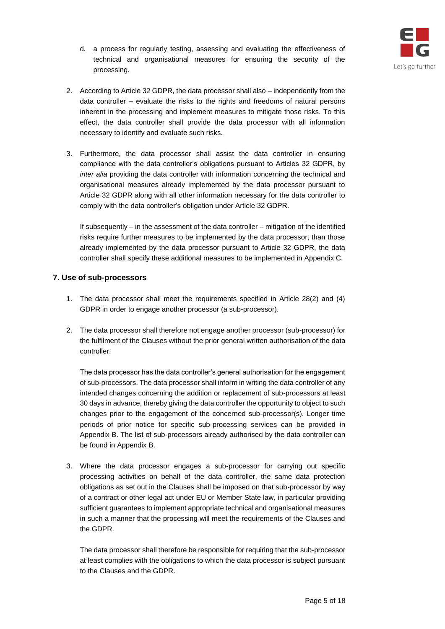

- d. a process for regularly testing, assessing and evaluating the effectiveness of technical and organisational measures for ensuring the security of the processing.
- 2. According to Article 32 GDPR, the data processor shall also independently from the data controller – evaluate the risks to the rights and freedoms of natural persons inherent in the processing and implement measures to mitigate those risks. To this effect, the data controller shall provide the data processor with all information necessary to identify and evaluate such risks.
- 3. Furthermore, the data processor shall assist the data controller in ensuring compliance with the data controller's obligations pursuant to Articles 32 GDPR, by *inter alia* providing the data controller with information concerning the technical and organisational measures already implemented by the data processor pursuant to Article 32 GDPR along with all other information necessary for the data controller to comply with the data controller's obligation under Article 32 GDPR.

If subsequently – in the assessment of the data controller – mitigation of the identified risks require further measures to be implemented by the data processor, than those already implemented by the data processor pursuant to Article 32 GDPR, the data controller shall specify these additional measures to be implemented in Appendix C.

#### <span id="page-4-0"></span>**7. Use of sub-processors**

- 1. The data processor shall meet the requirements specified in Article 28(2) and (4) GDPR in order to engage another processor (a sub-processor).
- 2. The data processor shall therefore not engage another processor (sub-processor) for the fulfilment of the Clauses without the prior general written authorisation of the data controller.

The data processor has the data controller's general authorisation for the engagement of sub-processors. The data processor shall inform in writing the data controller of any intended changes concerning the addition or replacement of sub-processors at least 30 days in advance, thereby giving the data controller the opportunity to object to such changes prior to the engagement of the concerned sub-processor(s). Longer time periods of prior notice for specific sub-processing services can be provided in Appendix B. The list of sub-processors already authorised by the data controller can be found in Appendix B.

3. Where the data processor engages a sub-processor for carrying out specific processing activities on behalf of the data controller, the same data protection obligations as set out in the Clauses shall be imposed on that sub-processor by way of a contract or other legal act under EU or Member State law, in particular providing sufficient guarantees to implement appropriate technical and organisational measures in such a manner that the processing will meet the requirements of the Clauses and the GDPR.

The data processor shall therefore be responsible for requiring that the sub-processor at least complies with the obligations to which the data processor is subject pursuant to the Clauses and the GDPR.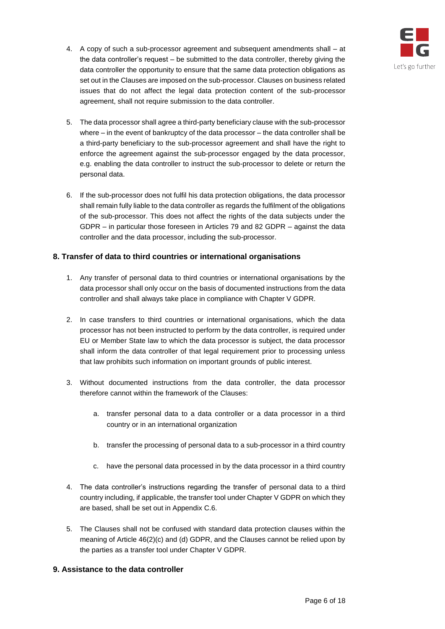

- 4. A copy of such a sub-processor agreement and subsequent amendments shall at the data controller's request – be submitted to the data controller, thereby giving the data controller the opportunity to ensure that the same data protection obligations as set out in the Clauses are imposed on the sub-processor. Clauses on business related issues that do not affect the legal data protection content of the sub-processor agreement, shall not require submission to the data controller.
- 5. The data processor shall agree a third-party beneficiary clause with the sub-processor where – in the event of bankruptcy of the data processor – the data controller shall be a third-party beneficiary to the sub-processor agreement and shall have the right to enforce the agreement against the sub-processor engaged by the data processor, e.g. enabling the data controller to instruct the sub-processor to delete or return the personal data.
- 6. If the sub-processor does not fulfil his data protection obligations, the data processor shall remain fully liable to the data controller as regards the fulfilment of the obligations of the sub-processor. This does not affect the rights of the data subjects under the GDPR – in particular those foreseen in Articles 79 and 82 GDPR – against the data controller and the data processor, including the sub-processor.

## <span id="page-5-0"></span>**8. Transfer of data to third countries or international organisations**

- 1. Any transfer of personal data to third countries or international organisations by the data processor shall only occur on the basis of documented instructions from the data controller and shall always take place in compliance with Chapter V GDPR.
- 2. In case transfers to third countries or international organisations, which the data processor has not been instructed to perform by the data controller, is required under EU or Member State law to which the data processor is subject, the data processor shall inform the data controller of that legal requirement prior to processing unless that law prohibits such information on important grounds of public interest.
- 3. Without documented instructions from the data controller, the data processor therefore cannot within the framework of the Clauses:
	- a. transfer personal data to a data controller or a data processor in a third country or in an international organization
	- b. transfer the processing of personal data to a sub-processor in a third country
	- c. have the personal data processed in by the data processor in a third country
- 4. The data controller's instructions regarding the transfer of personal data to a third country including, if applicable, the transfer tool under Chapter V GDPR on which they are based, shall be set out in Appendix C.6.
- 5. The Clauses shall not be confused with standard data protection clauses within the meaning of Article 46(2)(c) and (d) GDPR, and the Clauses cannot be relied upon by the parties as a transfer tool under Chapter V GDPR.

#### <span id="page-5-1"></span>**9. Assistance to the data controller**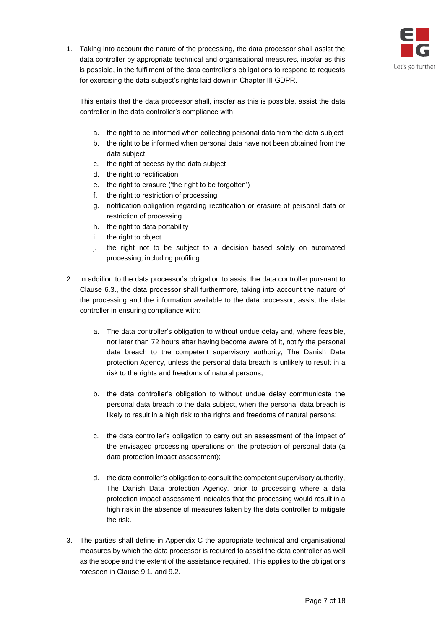

1. Taking into account the nature of the processing, the data processor shall assist the data controller by appropriate technical and organisational measures, insofar as this is possible, in the fulfilment of the data controller's obligations to respond to requests for exercising the data subject's rights laid down in Chapter III GDPR.

This entails that the data processor shall, insofar as this is possible, assist the data controller in the data controller's compliance with:

- a. the right to be informed when collecting personal data from the data subject
- b. the right to be informed when personal data have not been obtained from the data subject
- c. the right of access by the data subject
- d. the right to rectification
- e. the right to erasure ('the right to be forgotten')
- f. the right to restriction of processing
- g. notification obligation regarding rectification or erasure of personal data or restriction of processing
- h. the right to data portability
- i. the right to object
- j. the right not to be subject to a decision based solely on automated processing, including profiling
- 2. In addition to the data processor's obligation to assist the data controller pursuant to Clause 6.3., the data processor shall furthermore, taking into account the nature of the processing and the information available to the data processor, assist the data controller in ensuring compliance with:
	- a. The data controller's obligation to without undue delay and, where feasible, not later than 72 hours after having become aware of it, notify the personal data breach to the competent supervisory authority, The Danish Data protection Agency, unless the personal data breach is unlikely to result in a risk to the rights and freedoms of natural persons;
	- b. the data controller's obligation to without undue delay communicate the personal data breach to the data subject, when the personal data breach is likely to result in a high risk to the rights and freedoms of natural persons:
	- c. the data controller's obligation to carry out an assessment of the impact of the envisaged processing operations on the protection of personal data (a data protection impact assessment);
	- d. the data controller's obligation to consult the competent supervisory authority, The Danish Data protection Agency, prior to processing where a data protection impact assessment indicates that the processing would result in a high risk in the absence of measures taken by the data controller to mitigate the risk.
- 3. The parties shall define in Appendix C the appropriate technical and organisational measures by which the data processor is required to assist the data controller as well as the scope and the extent of the assistance required. This applies to the obligations foreseen in Clause 9.1. and 9.2.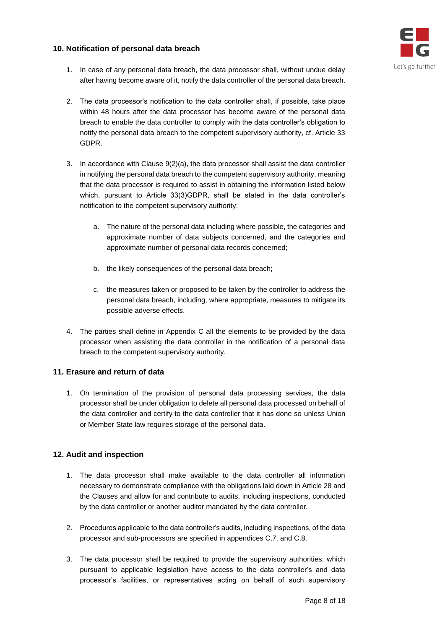## <span id="page-7-0"></span>**10. Notification of personal data breach**



- 1. In case of any personal data breach, the data processor shall, without undue delay after having become aware of it, notify the data controller of the personal data breach.
- 2. The data processor's notification to the data controller shall, if possible, take place within 48 hours after the data processor has become aware of the personal data breach to enable the data controller to comply with the data controller's obligation to notify the personal data breach to the competent supervisory authority, cf. Article 33 GDPR.
- 3. In accordance with Clause 9(2)(a), the data processor shall assist the data controller in notifying the personal data breach to the competent supervisory authority, meaning that the data processor is required to assist in obtaining the information listed below which, pursuant to Article 33(3)GDPR, shall be stated in the data controller's notification to the competent supervisory authority:
	- a. The nature of the personal data including where possible, the categories and approximate number of data subjects concerned, and the categories and approximate number of personal data records concerned;
	- b. the likely consequences of the personal data breach;
	- c. the measures taken or proposed to be taken by the controller to address the personal data breach, including, where appropriate, measures to mitigate its possible adverse effects.
- 4. The parties shall define in Appendix C all the elements to be provided by the data processor when assisting the data controller in the notification of a personal data breach to the competent supervisory authority.

# <span id="page-7-1"></span>**11. Erasure and return of data**

1. On termination of the provision of personal data processing services, the data processor shall be under obligation to delete all personal data processed on behalf of the data controller and certify to the data controller that it has done so unless Union or Member State law requires storage of the personal data.

# <span id="page-7-2"></span>**12. Audit and inspection**

- 1. The data processor shall make available to the data controller all information necessary to demonstrate compliance with the obligations laid down in Article 28 and the Clauses and allow for and contribute to audits, including inspections, conducted by the data controller or another auditor mandated by the data controller.
- 2. Procedures applicable to the data controller's audits, including inspections, of the data processor and sub-processors are specified in appendices C.7. and C.8.
- 3. The data processor shall be required to provide the supervisory authorities, which pursuant to applicable legislation have access to the data controller's and data processor's facilities, or representatives acting on behalf of such supervisory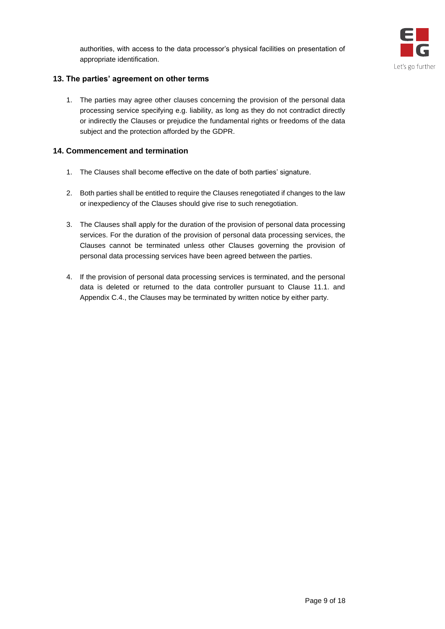

## <span id="page-8-0"></span>**13. The parties' agreement on other terms**

1. The parties may agree other clauses concerning the provision of the personal data processing service specifying e.g. liability, as long as they do not contradict directly or indirectly the Clauses or prejudice the fundamental rights or freedoms of the data subject and the protection afforded by the GDPR.

## <span id="page-8-1"></span>**14. Commencement and termination**

- 1. The Clauses shall become effective on the date of both parties' signature.
- 2. Both parties shall be entitled to require the Clauses renegotiated if changes to the law or inexpediency of the Clauses should give rise to such renegotiation.
- 3. The Clauses shall apply for the duration of the provision of personal data processing services. For the duration of the provision of personal data processing services, the Clauses cannot be terminated unless other Clauses governing the provision of personal data processing services have been agreed between the parties.
- 4. If the provision of personal data processing services is terminated, and the personal data is deleted or returned to the data controller pursuant to Clause 11.1. and Appendix C.4., the Clauses may be terminated by written notice by either party.

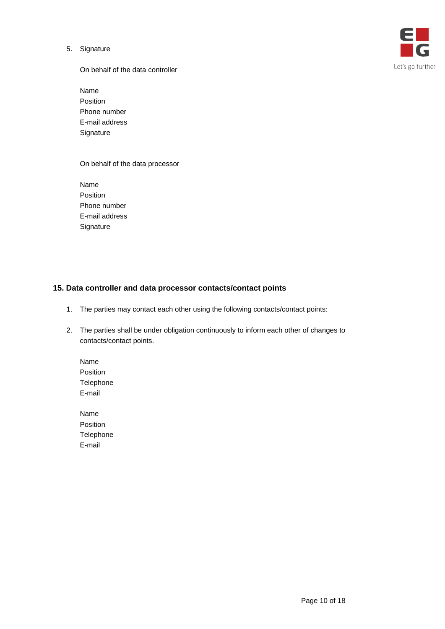5. Signature



On behalf of the data controller

Name Position Phone number E-mail address Signature

On behalf of the data processor

Name Position Phone number E-mail address **Signature** 

## <span id="page-9-0"></span>**15. Data controller and data processor contacts/contact points**

- 1. The parties may contact each other using the following contacts/contact points:
- 2. The parties shall be under obligation continuously to inform each other of changes to contacts/contact points.

Name Position Telephone E-mail

Name Position Telephone E-mail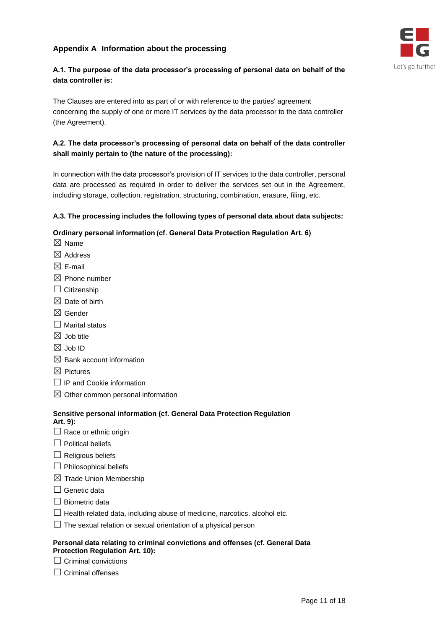# <span id="page-10-0"></span>**Appendix A Information about the processing**



# **A.1. The purpose of the data processor's processing of personal data on behalf of the data controller is:**

The Clauses are entered into as part of or with reference to the parties' agreement concerning the supply of one or more IT services by the data processor to the data controller (the Agreement).

# **A.2. The data processor's processing of personal data on behalf of the data controller shall mainly pertain to (the nature of the processing):**

In connection with the data processor's provision of IT services to the data controller, personal data are processed as required in order to deliver the services set out in the Agreement, including storage, collection, registration, structuring, combination, erasure, filing, etc.

## **A.3. The processing includes the following types of personal data about data subjects:**

## **Ordinary personal information (cf. General Data Protection Regulation Art. 6)**

- $\boxtimes$  Name
- ☒ Address
- $\boxtimes$  E-mail
- $\boxtimes$  Phone number
- $\Box$  Citizenship
- $\boxtimes$  Date of birth
- ☒ Gender
- $\Box$  Marital status
- $\boxtimes$  Job title
- ☒ Job ID
- $\boxtimes$  Bank account information
- $\boxtimes$  Pictures
- $\Box$  IP and Cookie information
- $\boxtimes$  Other common personal information

#### **Sensitive personal information (cf. General Data Protection Regulation Art. 9):**

- $\Box$  Race or ethnic origin
- $\Box$  Political beliefs
- $\Box$  Religious beliefs
- $\Box$  Philosophical beliefs
- $\boxtimes$  Trade Union Membership
- $\Box$  Genetic data
- $\Box$  Biometric data
- $\Box$  Health-related data, including abuse of medicine, narcotics, alcohol etc.
- $\Box$  The sexual relation or sexual orientation of a physical person

#### **Personal data relating to criminal convictions and offenses (cf. General Data Protection Regulation Art. 10):**

- $\Box$  Criminal convictions
- $\Box$  Criminal offenses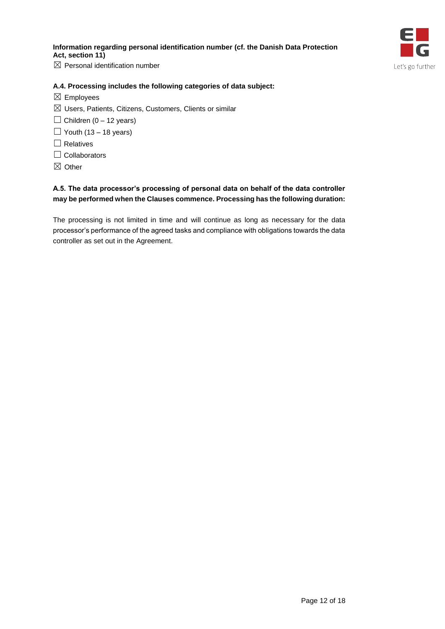## **Information regarding personal identification number (cf. the Danish Data Protection Act, section 11)**



 $\boxtimes$  Personal identification number

#### **A.4. Processing includes the following categories of data subject:**

- $\boxtimes$  Employees
- $\boxtimes$  Users, Patients, Citizens, Customers, Clients or similar
- $\Box$  Children (0 12 years)
- $\Box$  Youth (13 18 years)
- □ Relatives
- □ Collaborators
- ☒ Other

## **A.5. The data processor's processing of personal data on behalf of the data controller may be performed when the Clauses commence. Processing has the following duration:**

The processing is not limited in time and will continue as long as necessary for the data processor's performance of the agreed tasks and compliance with obligations towards the data controller as set out in the Agreement.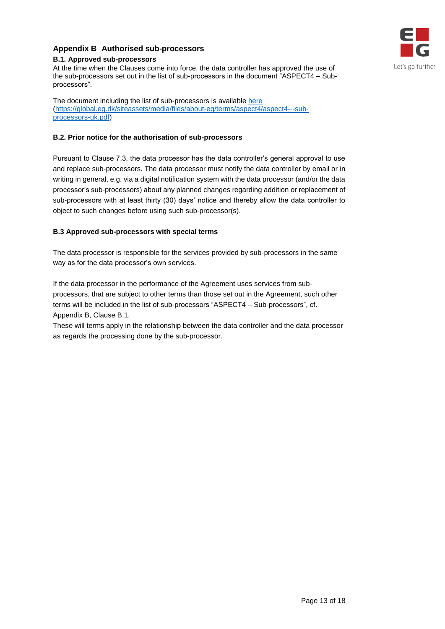## <span id="page-12-0"></span>**Appendix B Authorised sub-processors B.1. Approved sub-processors**



The document including the list of sub-processors is available [here](https://global.eg.dk/siteassets/media/files/about-eg/terms/aspect4/aspect4---sub-processors-uk.pdf) [\(https://global.eg.dk/siteassets/media/files/about-eg/terms/aspect4/aspect4---sub](https://global.eg.dk/siteassets/media/files/about-eg/terms/aspect4/aspect4---sub-processors-uk.pdf)[processors-uk.pdf\)](https://global.eg.dk/siteassets/media/files/about-eg/terms/aspect4/aspect4---sub-processors-uk.pdf)

#### **B.2. Prior notice for the authorisation of sub-processors**

Pursuant to Clause 7.3, the data processor has the data controller's general approval to use and replace sub-processors. The data processor must notify the data controller by email or in writing in general, e.g. via a digital notification system with the data processor (and/or the data processor's sub-processors) about any planned changes regarding addition or replacement of sub-processors with at least thirty (30) days' notice and thereby allow the data controller to object to such changes before using such sub-processor(s).

#### **B.3 Approved sub-processors with special terms**

The data processor is responsible for the services provided by sub-processors in the same way as for the data processor's own services.

If the data processor in the performance of the Agreement uses services from subprocessors, that are subject to other terms than those set out in the Agreement, such other terms will be included in the list of sub-processors "ASPECT4 – Sub-processors", cf. Appendix B, Clause B.1.

These will terms apply in the relationship between the data controller and the data processor as regards the processing done by the sub-processor.

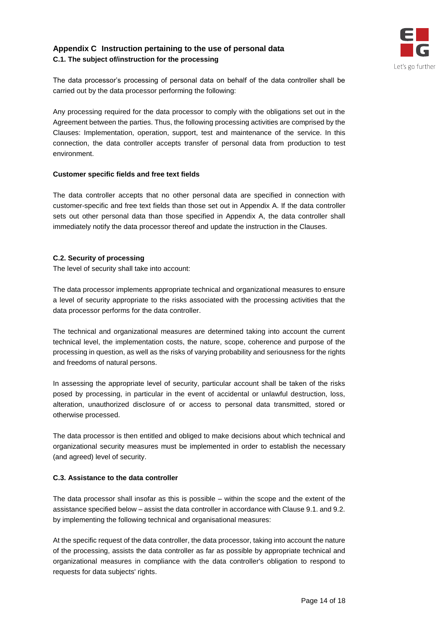## <span id="page-13-0"></span>**Appendix C Instruction pertaining to the use of personal data C.1. The subject of/instruction for the processing**



The data processor's processing of personal data on behalf of the data controller shall be carried out by the data processor performing the following:

Any processing required for the data processor to comply with the obligations set out in the Agreement between the parties. Thus, the following processing activities are comprised by the Clauses: Implementation, operation, support, test and maintenance of the service. In this connection, the data controller accepts transfer of personal data from production to test environment.

#### **Customer specific fields and free text fields**

The data controller accepts that no other personal data are specified in connection with customer-specific and free text fields than those set out in Appendix A. If the data controller sets out other personal data than those specified in Appendix A, the data controller shall immediately notify the data processor thereof and update the instruction in the Clauses.

#### **C.2. Security of processing**

The level of security shall take into account:

The data processor implements appropriate technical and organizational measures to ensure a level of security appropriate to the risks associated with the processing activities that the data processor performs for the data controller.

The technical and organizational measures are determined taking into account the current technical level, the implementation costs, the nature, scope, coherence and purpose of the processing in question, as well as the risks of varying probability and seriousness for the rights and freedoms of natural persons.

In assessing the appropriate level of security, particular account shall be taken of the risks posed by processing, in particular in the event of accidental or unlawful destruction, loss, alteration, unauthorized disclosure of or access to personal data transmitted, stored or otherwise processed.

The data processor is then entitled and obliged to make decisions about which technical and organizational security measures must be implemented in order to establish the necessary (and agreed) level of security.

#### **C.3. Assistance to the data controller**

The data processor shall insofar as this is possible – within the scope and the extent of the assistance specified below – assist the data controller in accordance with Clause 9.1. and 9.2. by implementing the following technical and organisational measures:

At the specific request of the data controller, the data processor, taking into account the nature of the processing, assists the data controller as far as possible by appropriate technical and organizational measures in compliance with the data controller's obligation to respond to requests for data subjects' rights.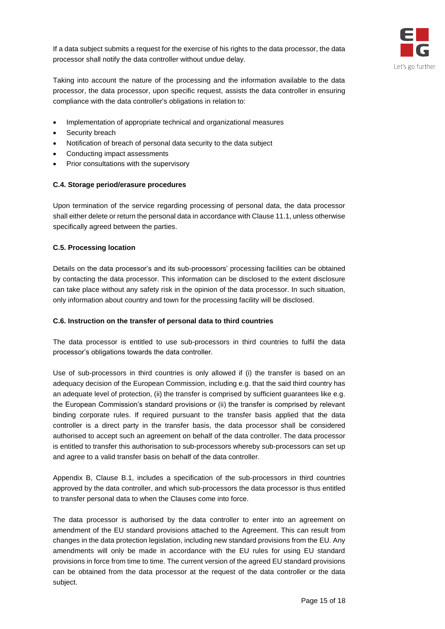If a data subject submits a request for the exercise of his rights to the data processor, the data processor shall notify the data controller without undue delay.



Taking into account the nature of the processing and the information available to the data processor, the data processor, upon specific request, assists the data controller in ensuring compliance with the data controller's obligations in relation to:

- Implementation of appropriate technical and organizational measures
- Security breach
- Notification of breach of personal data security to the data subject
- Conducting impact assessments
- Prior consultations with the supervisory

#### **C.4. Storage period/erasure procedures**

Upon termination of the service regarding processing of personal data, the data processor shall either delete or return the personal data in accordance with Clause 11.1, unless otherwise specifically agreed between the parties.

#### **C.5. Processing location**

Details on the data processor's and its sub-processors' processing facilities can be obtained by contacting the data processor. This information can be disclosed to the extent disclosure can take place without any safety risk in the opinion of the data processor. In such situation, only information about country and town for the processing facility will be disclosed.

#### **C.6. Instruction on the transfer of personal data to third countries**

The data processor is entitled to use sub-processors in third countries to fulfil the data processor's obligations towards the data controller.

Use of sub-processors in third countries is only allowed if (i) the transfer is based on an adequacy decision of the European Commission, including e.g. that the said third country has an adequate level of protection, (ii) the transfer is comprised by sufficient guarantees like e.g. the European Commission's standard provisions or (ii) the transfer is comprised by relevant binding corporate rules. If required pursuant to the transfer basis applied that the data controller is a direct party in the transfer basis, the data processor shall be considered authorised to accept such an agreement on behalf of the data controller. The data processor is entitled to transfer this authorisation to sub-processors whereby sub-processors can set up and agree to a valid transfer basis on behalf of the data controller.

Appendix B, Clause B.1, includes a specification of the sub-processors in third countries approved by the data controller, and which sub-processors the data processor is thus entitled to transfer personal data to when the Clauses come into force.

The data processor is authorised by the data controller to enter into an agreement on amendment of the EU standard provisions attached to the Agreement. This can result from changes in the data protection legislation, including new standard provisions from the EU. Any amendments will only be made in accordance with the EU rules for using EU standard provisions in force from time to time. The current version of the agreed EU standard provisions can be obtained from the data processor at the request of the data controller or the data subject.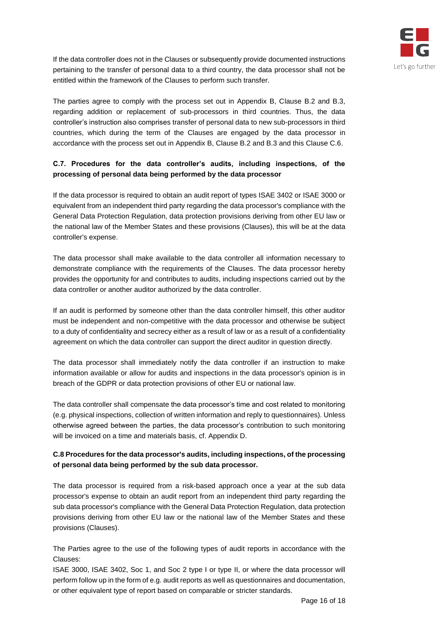

If the data controller does not in the Clauses or subsequently provide documented instructions pertaining to the transfer of personal data to a third country, the data processor shall not be entitled within the framework of the Clauses to perform such transfer.

The parties agree to comply with the process set out in Appendix B, Clause B.2 and B.3, regarding addition or replacement of sub-processors in third countries. Thus, the data controller's instruction also comprises transfer of personal data to new sub-processors in third countries, which during the term of the Clauses are engaged by the data processor in accordance with the process set out in Appendix B, Clause B.2 and B.3 and this Clause C.6.

# **C.7. Procedures for the data controller's audits, including inspections, of the processing of personal data being performed by the data processor**

If the data processor is required to obtain an audit report of types ISAE 3402 or ISAE 3000 or equivalent from an independent third party regarding the data processor's compliance with the General Data Protection Regulation, data protection provisions deriving from other EU law or the national law of the Member States and these provisions (Clauses), this will be at the data controller's expense.

The data processor shall make available to the data controller all information necessary to demonstrate compliance with the requirements of the Clauses. The data processor hereby provides the opportunity for and contributes to audits, including inspections carried out by the data controller or another auditor authorized by the data controller.

If an audit is performed by someone other than the data controller himself, this other auditor must be independent and non-competitive with the data processor and otherwise be subject to a duty of confidentiality and secrecy either as a result of law or as a result of a confidentiality agreement on which the data controller can support the direct auditor in question directly.

The data processor shall immediately notify the data controller if an instruction to make information available or allow for audits and inspections in the data processor's opinion is in breach of the GDPR or data protection provisions of other EU or national law.

The data controller shall compensate the data processor's time and cost related to monitoring (e.g. physical inspections, collection of written information and reply to questionnaires). Unless otherwise agreed between the parties, the data processor's contribution to such monitoring will be invoiced on a time and materials basis, cf. Appendix D.

## **C.8 Procedures for the data processor's audits, including inspections, of the processing of personal data being performed by the sub data processor.**

The data processor is required from a risk-based approach once a year at the sub data processor's expense to obtain an audit report from an independent third party regarding the sub data processor's compliance with the General Data Protection Regulation, data protection provisions deriving from other EU law or the national law of the Member States and these provisions (Clauses).

The Parties agree to the use of the following types of audit reports in accordance with the Clauses:

ISAE 3000, ISAE 3402, Soc 1, and Soc 2 type I or type II, or where the data processor will perform follow up in the form of e.g. audit reports as well as questionnaires and documentation, or other equivalent type of report based on comparable or stricter standards.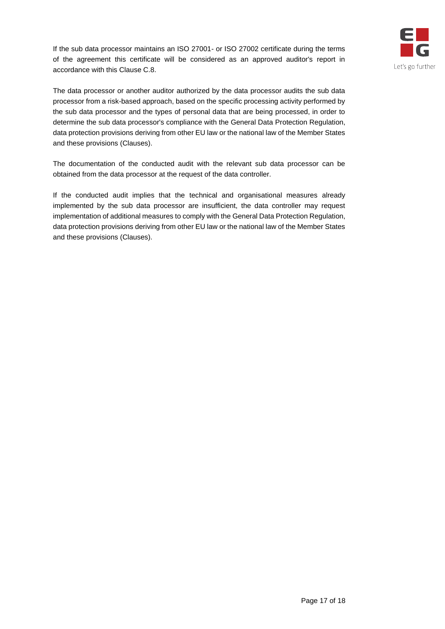



The data processor or another auditor authorized by the data processor audits the sub data processor from a risk-based approach, based on the specific processing activity performed by the sub data processor and the types of personal data that are being processed, in order to determine the sub data processor's compliance with the General Data Protection Regulation, data protection provisions deriving from other EU law or the national law of the Member States and these provisions (Clauses).

The documentation of the conducted audit with the relevant sub data processor can be obtained from the data processor at the request of the data controller.

If the conducted audit implies that the technical and organisational measures already implemented by the sub data processor are insufficient, the data controller may request implementation of additional measures to comply with the General Data Protection Regulation, data protection provisions deriving from other EU law or the national law of the Member States and these provisions (Clauses).